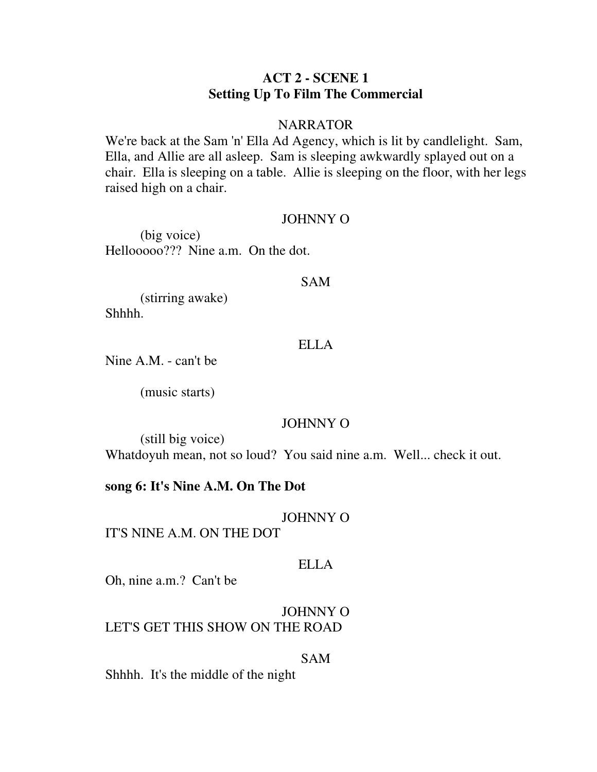## **ACT 2 - SCENE 1 Setting Up To Film The Commercial**

### **NARRATOR**

We're back at the Sam 'n' Ella Ad Agency, which is lit by candlelight. Sam, Ella, and Allie are all asleep. Sam is sleeping awkwardly splayed out on a chair. Ella is sleeping on a table. Allie is sleeping on the floor, with her legs raised high on a chair.

#### JOHNNY O

 (big voice) Hellooooo??? Nine a.m. On the dot.

#### SAM

 (stirring awake) Shhhh.

### ELLA

Nine A.M. - can't be

(music starts)

### JOHNNY O

 (still big voice) Whatdoyuh mean, not so loud? You said nine a.m. Well... check it out.

#### **song 6: It's Nine A.M. On The Dot**

## JOHNNY O

IT'S NINE A.M. ON THE DOT

## ELLA

Oh, nine a.m.? Can't be

## JOHNNY O LET'S GET THIS SHOW ON THE ROAD

#### SAM

Shhhh. It's the middle of the night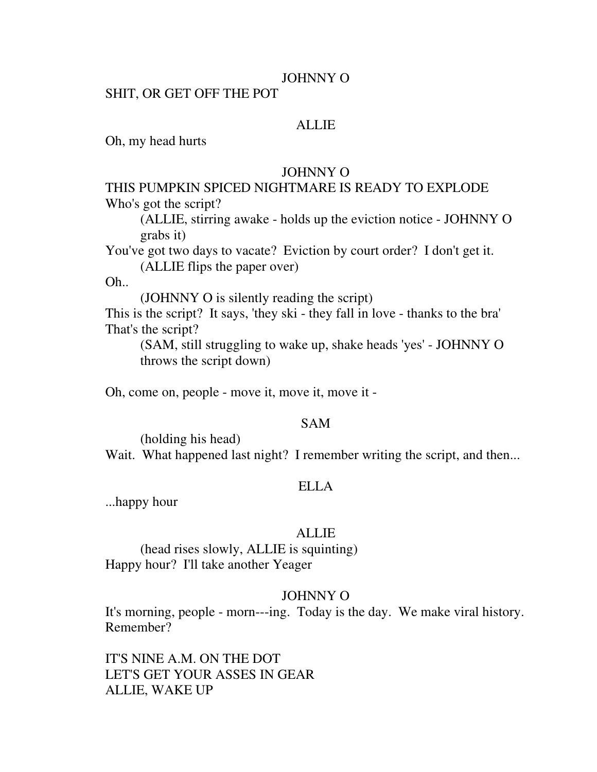#### JOHNNY O

#### SHIT, OR GET OFF THE POT

## **ALLIE**

Oh, my head hurts

### JOHNNY O

## THIS PUMPKIN SPICED NIGHTMARE IS READY TO EXPLODE Who's got the script?

 (ALLIE, stirring awake - holds up the eviction notice - JOHNNY O grabs it)

You've got two days to vacate? Eviction by court order? I don't get it. (ALLIE flips the paper over)

Oh..

(JOHNNY O is silently reading the script)

This is the script? It says, 'they ski - they fall in love - thanks to the bra' That's the script?

 (SAM, still struggling to wake up, shake heads 'yes' - JOHNNY O throws the script down)

Oh, come on, people - move it, move it, move it -

#### SAM

(holding his head)

Wait. What happened last night? I remember writing the script, and then...

#### ELLA

...happy hour

#### ALLIE

 (head rises slowly, ALLIE is squinting) Happy hour? I'll take another Yeager

#### JOHNNY O

It's morning, people - morn---ing. Today is the day. We make viral history. Remember?

IT'S NINE A.M. ON THE DOT LET'S GET YOUR ASSES IN GEAR ALLIE, WAKE UP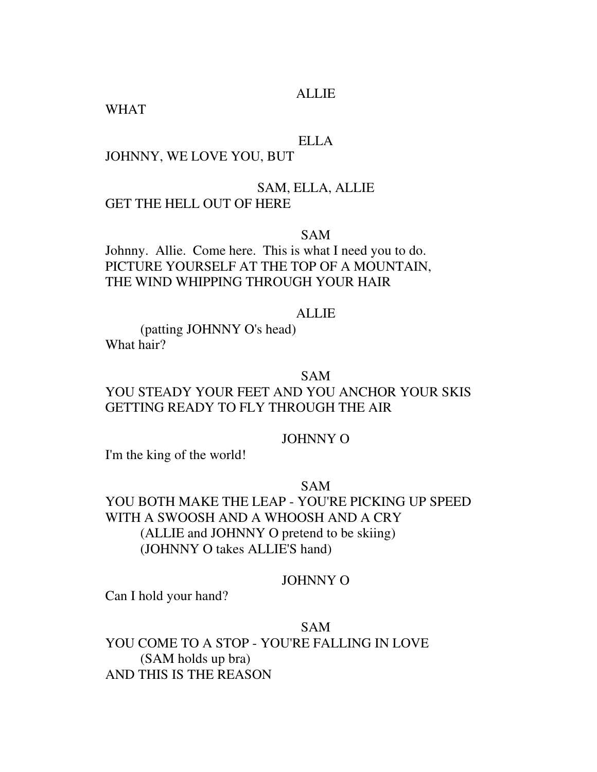## ALLIE

WHAT

#### ELLA

## JOHNNY, WE LOVE YOU, BUT

#### SAM, ELLA, ALLIE

### GET THE HELL OUT OF HERE

SAM

Johnny. Allie. Come here. This is what I need you to do. PICTURE YOURSELF AT THE TOP OF A MOUNTAIN, THE WIND WHIPPING THROUGH YOUR HAIR

#### ALLIE

 (patting JOHNNY O's head) What hair?

#### SAM

## YOU STEADY YOUR FEET AND YOU ANCHOR YOUR SKIS GETTING READY TO FLY THROUGH THE AIR

### JOHNNY O

I'm the king of the world!

SAM

YOU BOTH MAKE THE LEAP - YOU'RE PICKING UP SPEED WITH A SWOOSH AND A WHOOSH AND A CRY (ALLIE and JOHNNY O pretend to be skiing) (JOHNNY O takes ALLIE'S hand)

### JOHNNY O

Can I hold your hand?

### SAM

YOU COME TO A STOP - YOU'RE FALLING IN LOVE (SAM holds up bra) AND THIS IS THE REASON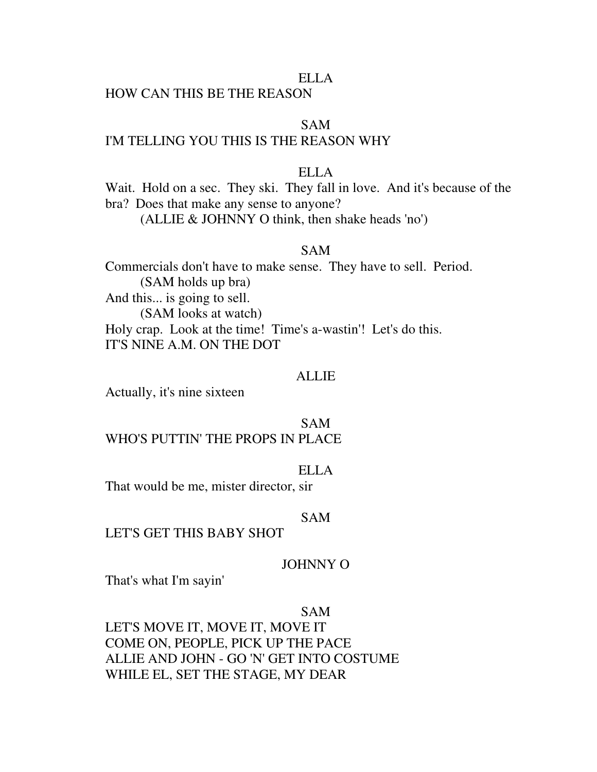#### ELLA

## HOW CAN THIS BE THE REASON

## SAM

## I'M TELLING YOU THIS IS THE REASON WHY

## ELLA

Wait. Hold on a sec. They ski. They fall in love. And it's because of the bra? Does that make any sense to anyone?

(ALLIE & JOHNNY O think, then shake heads 'no')

### SAM

Commercials don't have to make sense. They have to sell. Period. (SAM holds up bra) And this... is going to sell. (SAM looks at watch) Holy crap. Look at the time! Time's a-wastin'! Let's do this. IT'S NINE A.M. ON THE DOT

#### ALLIE

Actually, it's nine sixteen

### SAM

## WHO'S PUTTIN' THE PROPS IN PLACE

#### ELLA

That would be me, mister director, sir

#### SAM

#### LET'S GET THIS BABY SHOT

### JOHNNY O

That's what I'm sayin'

#### SAM

LET'S MOVE IT, MOVE IT, MOVE IT COME ON, PEOPLE, PICK UP THE PACE ALLIE AND JOHN - GO 'N' GET INTO COSTUME WHILE EL, SET THE STAGE, MY DEAR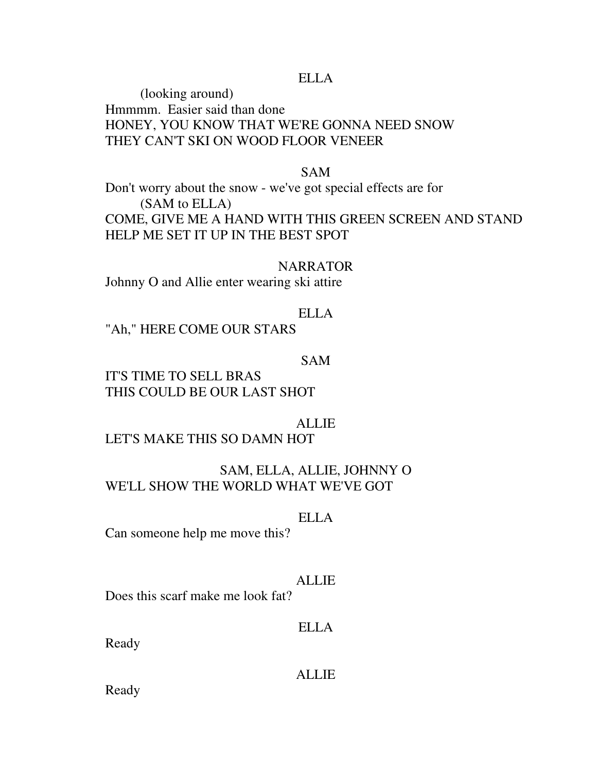#### ELLA

 (looking around) Hmmmm. Easier said than done HONEY, YOU KNOW THAT WE'RE GONNA NEED SNOW THEY CAN'T SKI ON WOOD FLOOR VENEER

## SAM

Don't worry about the snow - we've got special effects are for (SAM to ELLA) COME, GIVE ME A HAND WITH THIS GREEN SCREEN AND STAND HELP ME SET IT UP IN THE BEST SPOT

#### NARRATOR

Johnny O and Allie enter wearing ski attire

## ELLA

"Ah," HERE COME OUR STARS

## SAM

IT'S TIME TO SELL BRAS THIS COULD BE OUR LAST SHOT

#### ALLIE

LET'S MAKE THIS SO DAMN HOT

## SAM, ELLA, ALLIE, JOHNNY O WE'LL SHOW THE WORLD WHAT WE'VE GOT

#### ELLA

Can someone help me move this?

#### ALLIE

Does this scarf make me look fat?

## ELLA

Ready

#### ALLIE

Ready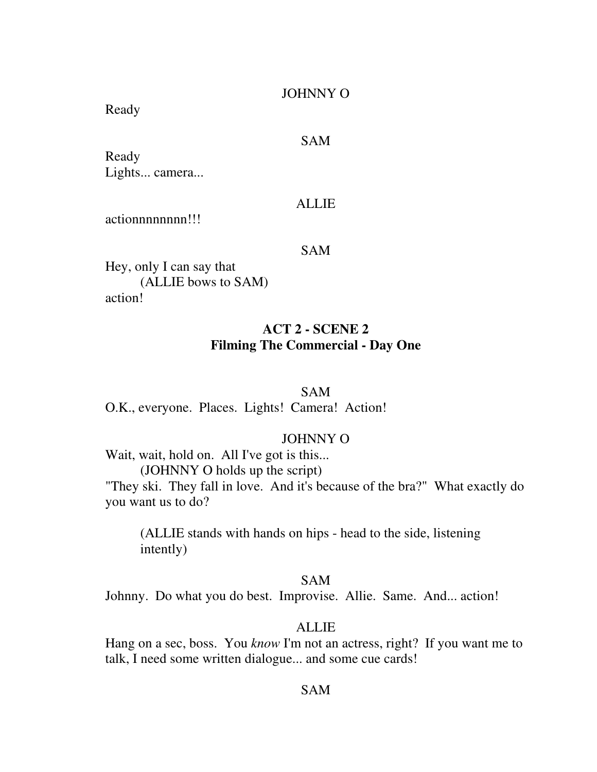### JOHNNY O

Ready

## SAM

Ready Lights... camera...

#### ALLIE

actionnnnnnnn!!!

#### SAM

Hey, only I can say that (ALLIE bows to SAM) action!

## **ACT 2 - SCENE 2 Filming The Commercial - Day One**

## SAM

O.K., everyone. Places. Lights! Camera! Action!

## JOHNNY O

Wait, wait, hold on. All I've got is this... (JOHNNY O holds up the script) "They ski. They fall in love. And it's because of the bra?" What exactly do

you want us to do?

 (ALLIE stands with hands on hips - head to the side, listening intently)

#### SAM

Johnny. Do what you do best. Improvise. Allie. Same. And... action!

## ALLIE

Hang on a sec, boss. You *know* I'm not an actress, right? If you want me to talk, I need some written dialogue... and some cue cards!

### SAM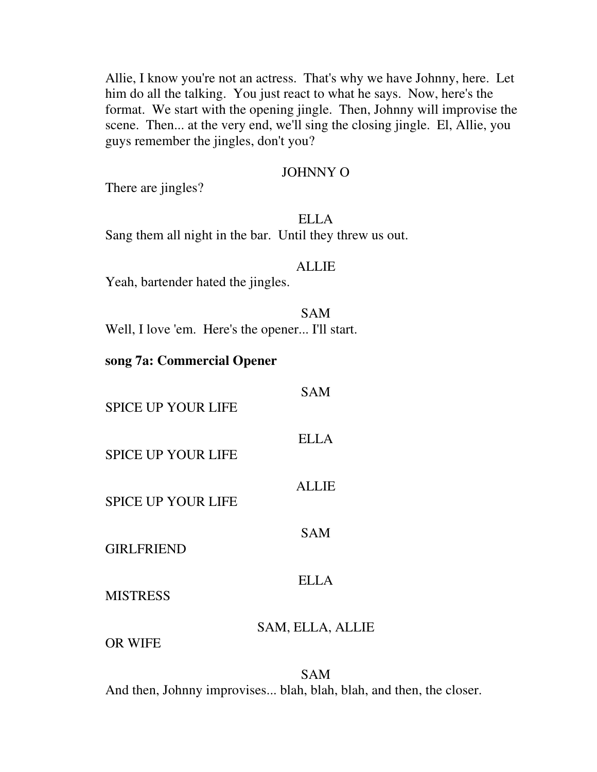Allie, I know you're not an actress. That's why we have Johnny, here. Let him do all the talking. You just react to what he says. Now, here's the format. We start with the opening jingle. Then, Johnny will improvise the scene. Then... at the very end, we'll sing the closing jingle. El, Allie, you guys remember the jingles, don't you?

### JOHNNY O

There are jingles?

### ELLA

Sang them all night in the bar. Until they threw us out.

#### ALLIE

Yeah, bartender hated the jingles.

## SAM

Well, I love 'em. Here's the opener... I'll start.

## **song 7a: Commercial Opener**

| <b>SPICE UP YOUR LIFE</b> | <b>SAM</b>       |
|---------------------------|------------------|
| <b>SPICE UP YOUR LIFE</b> | <b>ELLA</b>      |
| <b>SPICE UP YOUR LIFE</b> | <b>ALLIE</b>     |
| <b>GIRLFRIEND</b>         | <b>SAM</b>       |
| <b>MISTRESS</b>           | <b>ELLA</b>      |
|                           | SAM, ELLA, ALLIE |

OR WIFE

SAM And then, Johnny improvises... blah, blah, blah, and then, the closer.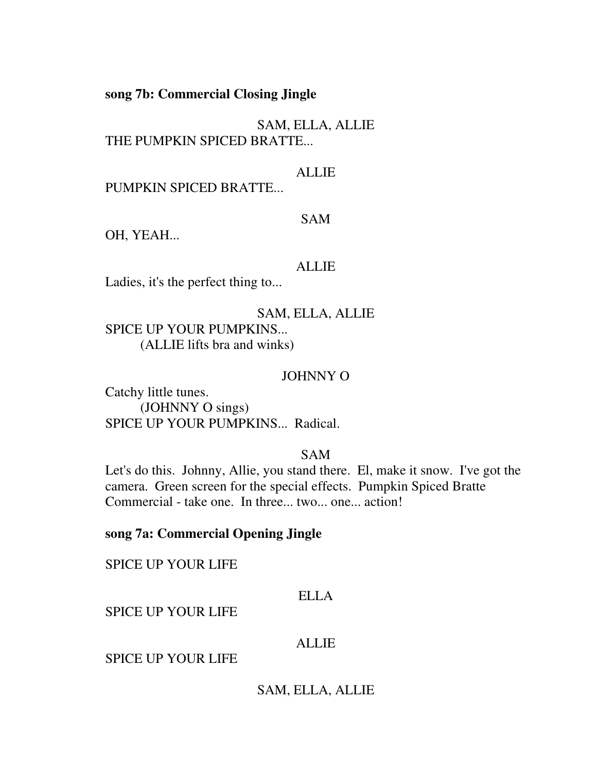**song 7b: Commercial Closing Jingle** 

SAM, ELLA, ALLIE THE PUMPKIN SPICED BRATTE...

## ALLIE

PUMPKIN SPICED BRATTE...

### SAM

OH, YEAH...

#### ALLIE

Ladies, it's the perfect thing to...

SAM, ELLA, ALLIE SPICE UP YOUR PUMPKINS... (ALLIE lifts bra and winks)

#### JOHNNY O

Catchy little tunes. (JOHNNY O sings) SPICE UP YOUR PUMPKINS... Radical.

## SAM

Let's do this. Johnny, Allie, you stand there. El, make it snow. I've got the camera. Green screen for the special effects. Pumpkin Spiced Bratte Commercial - take one. In three... two... one... action!

## **song 7a: Commercial Opening Jingle**

SPICE UP YOUR LIFE

### ELLA

SPICE UP YOUR LIFE

## ALLIE

SPICE UP YOUR LIFE

### SAM, ELLA, ALLIE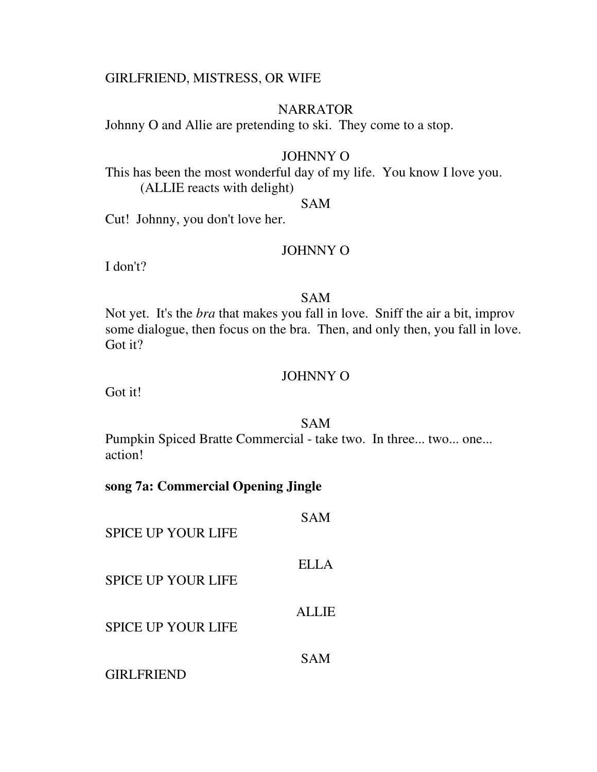### GIRLFRIEND, MISTRESS, OR WIFE

### NARRATOR

Johnny O and Allie are pretending to ski. They come to a stop.

## JOHNNY O

This has been the most wonderful day of my life. You know I love you. (ALLIE reacts with delight)

#### SAM

Cut! Johnny, you don't love her.

### JOHNNY O

I don't?

## SAM

Not yet. It's the *bra* that makes you fall in love. Sniff the air a bit, improv some dialogue, then focus on the bra. Then, and only then, you fall in love. Got it?

## JOHNNY O

Got it!

#### SAM

Pumpkin Spiced Bratte Commercial - take two. In three... two... one... action!

## **song 7a: Commercial Opening Jingle**

| <b>SPICE UP YOUR LIFE</b> | <b>SAM</b>   |
|---------------------------|--------------|
| <b>SPICE UP YOUR LIFE</b> | ELLA         |
| <b>SPICE UP YOUR LIFE</b> | <b>ALLIE</b> |
| <b>GIRLFRIEND</b>         | <b>SAM</b>   |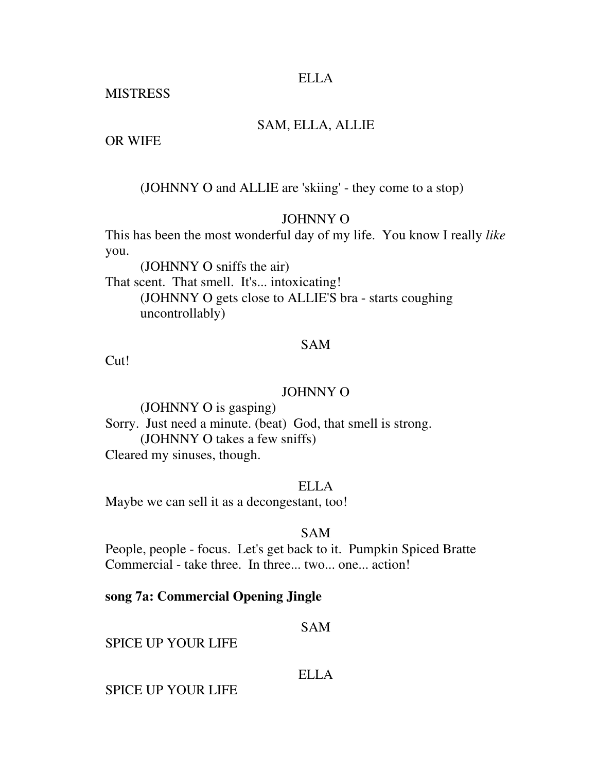### ELLA

**MISTRESS** 

## SAM, ELLA, ALLIE

OR WIFE

(JOHNNY O and ALLIE are 'skiing' - they come to a stop)

## JOHNNY O

This has been the most wonderful day of my life. You know I really *like* you.

 (JOHNNY O sniffs the air) That scent. That smell. It's... intoxicating! (JOHNNY O gets close to ALLIE'S bra - starts coughing uncontrollably)

## SAM

Cut!

## JOHNNY O

 (JOHNNY O is gasping) Sorry. Just need a minute. (beat) God, that smell is strong. (JOHNNY O takes a few sniffs) Cleared my sinuses, though.

## ELLA

Maybe we can sell it as a decongestant, too!

## SAM

People, people - focus. Let's get back to it. Pumpkin Spiced Bratte Commercial - take three. In three... two... one... action!

## **song 7a: Commercial Opening Jingle**

SAM

SPICE UP YOUR LIFE

## ELLA

SPICE UP YOUR LIFE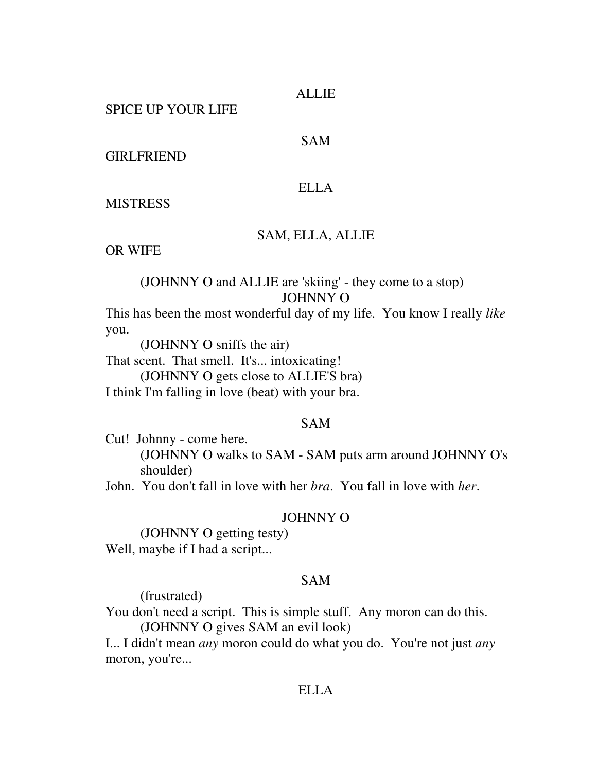#### ALLIE

SPICE UP YOUR LIFE

## SAM

GIRLFRIEND

### ELLA

**MISTRESS** 

### SAM, ELLA, ALLIE

OR WIFE

## (JOHNNY O and ALLIE are 'skiing' - they come to a stop) JOHNNY O

This has been the most wonderful day of my life. You know I really *like* you.

(JOHNNY O sniffs the air)

That scent. That smell. It's... intoxicating!

(JOHNNY O gets close to ALLIE'S bra)

I think I'm falling in love (beat) with your bra.

#### SAM

Cut! Johnny - come here. (JOHNNY O walks to SAM - SAM puts arm around JOHNNY O's shoulder)

John. You don't fall in love with her *bra*. You fall in love with *her*.

#### JOHNNY O

 (JOHNNY O getting testy) Well, maybe if I had a script...

### SAM

(frustrated)

You don't need a script. This is simple stuff. Any moron can do this.

(JOHNNY O gives SAM an evil look)

I... I didn't mean *any* moron could do what you do. You're not just *any* moron, you're...

#### ELLA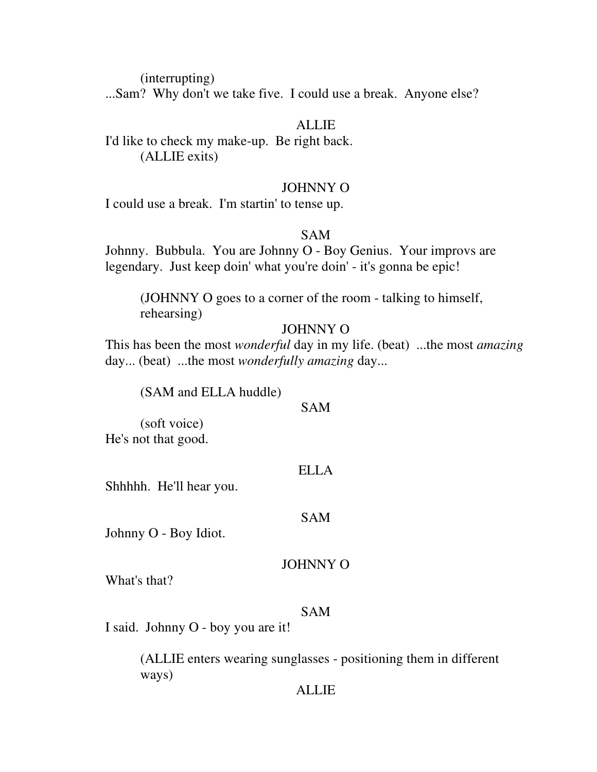(interrupting)

...Sam? Why don't we take five. I could use a break. Anyone else?

## **ALLIE**

I'd like to check my make-up. Be right back. (ALLIE exits)

## JOHNNY O

I could use a break. I'm startin' to tense up.

## SAM

Johnny. Bubbula. You are Johnny O - Boy Genius. Your improvs are legendary. Just keep doin' what you're doin' - it's gonna be epic!

 (JOHNNY O goes to a corner of the room - talking to himself, rehearsing)

## JOHNNY O

This has been the most *wonderful* day in my life. (beat) ...the most *amazing* day... (beat) ...the most *wonderfully amazing* day...

(SAM and ELLA huddle)

### SAM

 (soft voice) He's not that good.

## ELLA

Shhhhh. He'll hear you.

### SAM

Johnny O - Boy Idiot.

## JOHNNY O

What's that?

## SAM

I said. Johnny O - boy you are it!

 (ALLIE enters wearing sunglasses - positioning them in different ways)

## ALLIE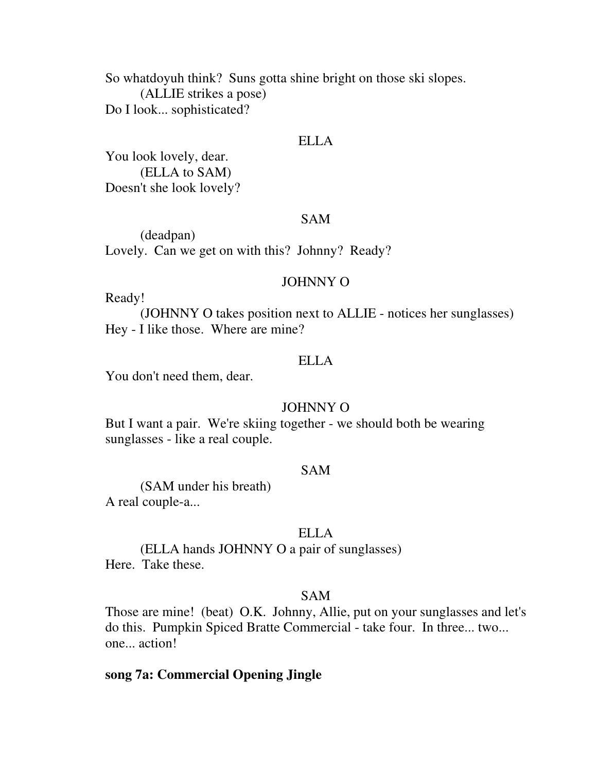So whatdoyuh think? Suns gotta shine bright on those ski slopes. (ALLIE strikes a pose) Do I look... sophisticated?

### ELLA

You look lovely, dear. (ELLA to SAM) Doesn't she look lovely?

#### SAM

 (deadpan) Lovely. Can we get on with this? Johnny? Ready?

#### JOHNNY O

Ready!

 (JOHNNY O takes position next to ALLIE - notices her sunglasses) Hey - I like those. Where are mine?

### ELLA

You don't need them, dear.

#### JOHNNY O

But I want a pair. We're skiing together - we should both be wearing sunglasses - like a real couple.

## SAM

 (SAM under his breath) A real couple-a...

#### ELLA

 (ELLA hands JOHNNY O a pair of sunglasses) Here. Take these.

## SAM

Those are mine! (beat) O.K. Johnny, Allie, put on your sunglasses and let's do this. Pumpkin Spiced Bratte Commercial - take four. In three... two... one... action!

## **song 7a: Commercial Opening Jingle**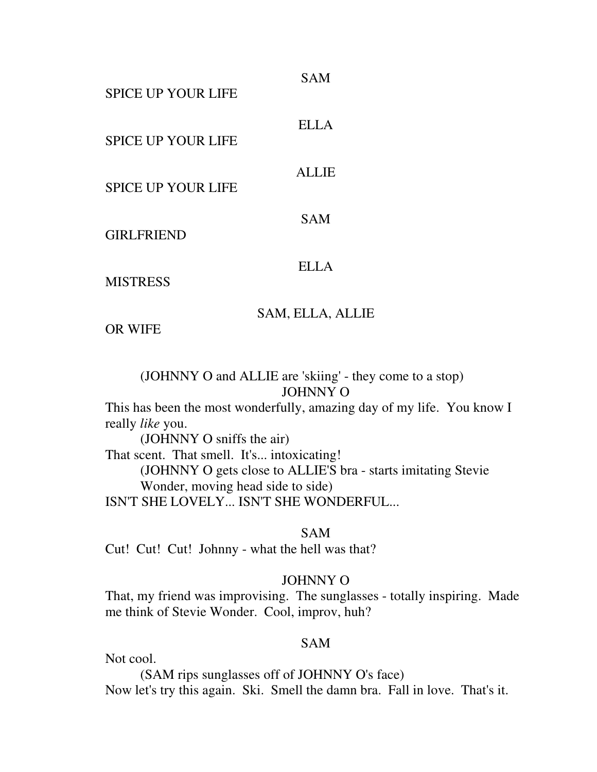| <b>SPICE UP YOUR LIFE</b> | <b>SAM</b>   |
|---------------------------|--------------|
| <b>SPICE UP YOUR LIFE</b> | ELLA         |
| <b>SPICE UP YOUR LIFE</b> | <b>ALLIE</b> |
| <b>GIRLFRIEND</b>         | <b>SAM</b>   |
| <b>MISTRESS</b>           | <b>ELLA</b>  |

## SAM, ELLA, ALLIE

OR WIFE

 (JOHNNY O and ALLIE are 'skiing' - they come to a stop) JOHNNY O

This has been the most wonderfully, amazing day of my life. You know I really *like* you.

 (JOHNNY O sniffs the air) That scent. That smell. It's... intoxicating! (JOHNNY O gets close to ALLIE'S bra - starts imitating Stevie Wonder, moving head side to side) ISN'T SHE LOVELY... ISN'T SHE WONDERFUL...

SAM

Cut! Cut! Cut! Johnny - what the hell was that?

## JOHNNY O

That, my friend was improvising. The sunglasses - totally inspiring. Made me think of Stevie Wonder. Cool, improv, huh?

## SAM

Not cool.

 (SAM rips sunglasses off of JOHNNY O's face) Now let's try this again. Ski. Smell the damn bra. Fall in love. That's it.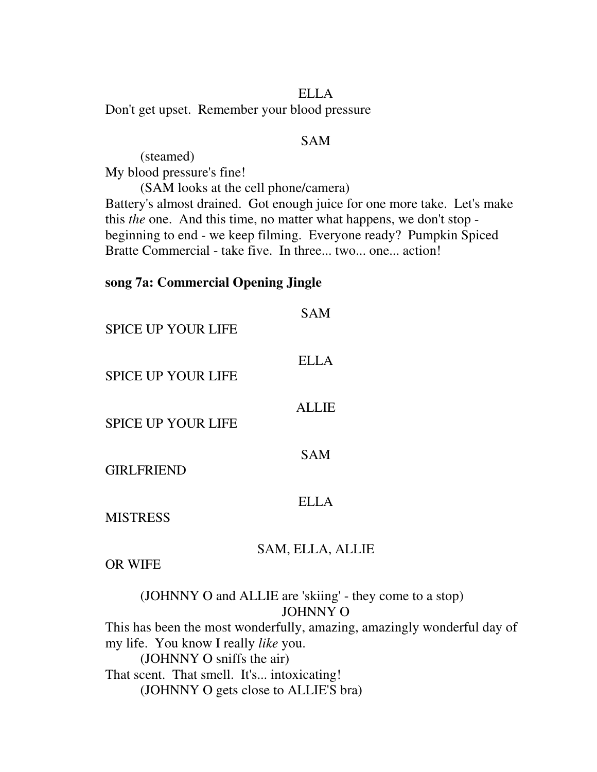### ELLA

Don't get upset. Remember your blood pressure

## SAM

 (steamed) My blood pressure's fine!

 (SAM looks at the cell phone/camera) Battery's almost drained. Got enough juice for one more take. Let's make this *the* one. And this time, no matter what happens, we don't stop beginning to end - we keep filming. Everyone ready? Pumpkin Spiced Bratte Commercial - take five. In three... two... one... action!

## **song 7a: Commercial Opening Jingle**

| <b>SPICE UP YOUR LIFE</b> | <b>SAM</b>       |
|---------------------------|------------------|
| <b>SPICE UP YOUR LIFE</b> | <b>ELLA</b>      |
| <b>SPICE UP YOUR LIFE</b> | <b>ALLIE</b>     |
| <b>GIRLFRIEND</b>         | <b>SAM</b>       |
| <b>MISTRESS</b>           | <b>ELLA</b>      |
| <b>OR WIFE</b>            | SAM, ELLA, ALLIE |

 (JOHNNY O and ALLIE are 'skiing' - they come to a stop) JOHNNY O This has been the most wonderfully, amazing, amazingly wonderful day of my life. You know I really *like* you. (JOHNNY O sniffs the air) That scent. That smell. It's... intoxicating! (JOHNNY O gets close to ALLIE'S bra)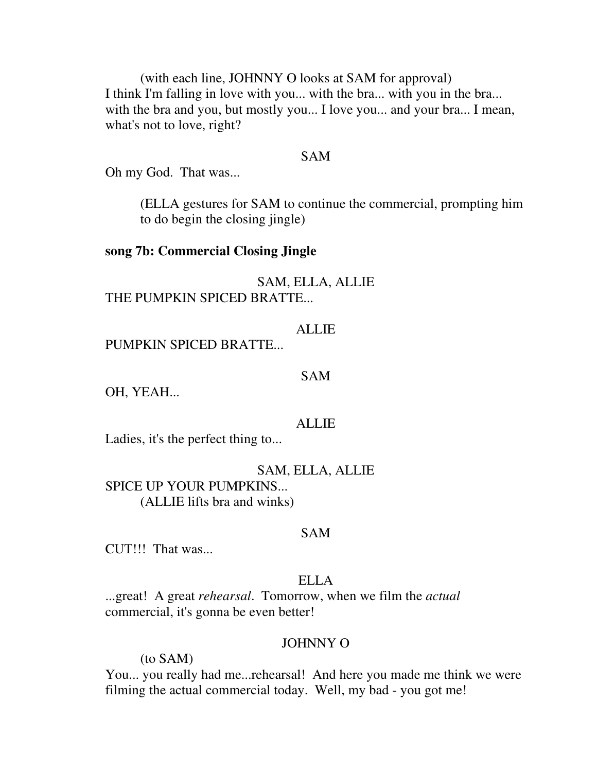(with each line, JOHNNY O looks at SAM for approval) I think I'm falling in love with you... with the bra... with you in the bra... with the bra and you, but mostly you... I love you... and your bra... I mean, what's not to love, right?

#### SAM

Oh my God. That was...

 (ELLA gestures for SAM to continue the commercial, prompting him to do begin the closing jingle)

#### **song 7b: Commercial Closing Jingle**

SAM, ELLA, ALLIE THE PUMPKIN SPICED BRATTE...

## **ALLIE**

PUMPKIN SPICED BRATTE...

#### SAM

OH, YEAH...

#### ALLIE

Ladies, it's the perfect thing to...

SAM, ELLA, ALLIE SPICE UP YOUR PUMPKINS... (ALLIE lifts bra and winks)

#### SAM

CUT!!! That was...

### ELLA

...great! A great *rehearsal*. Tomorrow, when we film the *actual* commercial, it's gonna be even better!

## JOHNNY O

(to SAM)

You... you really had me...rehearsal! And here you made me think we were filming the actual commercial today. Well, my bad - you got me!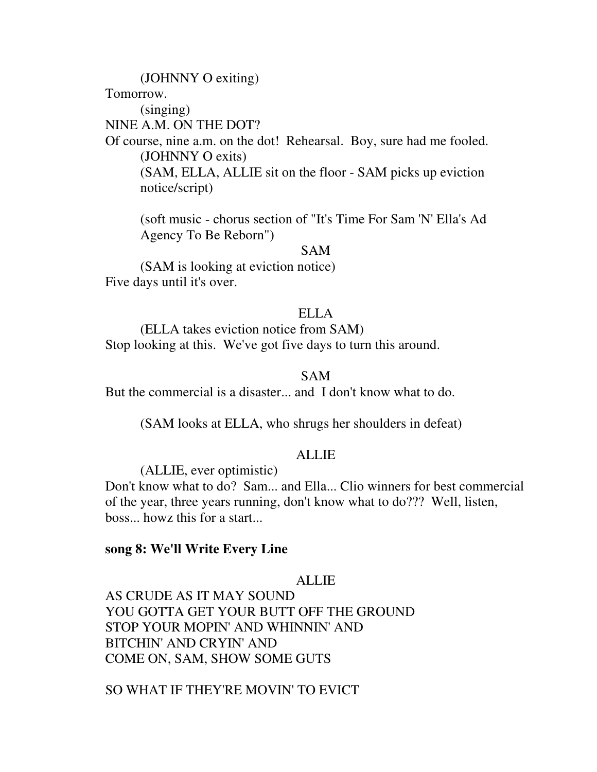(JOHNNY O exiting) Tomorrow. (singing) NINE A.M. ON THE DOT? Of course, nine a.m. on the dot! Rehearsal. Boy, sure had me fooled. (JOHNNY O exits) (SAM, ELLA, ALLIE sit on the floor - SAM picks up eviction notice/script)

 (soft music - chorus section of "It's Time For Sam 'N' Ella's Ad Agency To Be Reborn")

SAM

 (SAM is looking at eviction notice) Five days until it's over.

### ELLA

 (ELLA takes eviction notice from SAM) Stop looking at this. We've got five days to turn this around.

## SAM

But the commercial is a disaster... and I don't know what to do.

(SAM looks at ELLA, who shrugs her shoulders in defeat)

#### ALLIE

(ALLIE, ever optimistic)

Don't know what to do? Sam... and Ella... Clio winners for best commercial of the year, three years running, don't know what to do??? Well, listen, boss... howz this for a start...

#### **song 8: We'll Write Every Line**

### ALLIE

AS CRUDE AS IT MAY SOUND YOU GOTTA GET YOUR BUTT OFF THE GROUND STOP YOUR MOPIN' AND WHINNIN' AND BITCHIN' AND CRYIN' AND COME ON, SAM, SHOW SOME GUTS

SO WHAT IF THEY'RE MOVIN' TO EVICT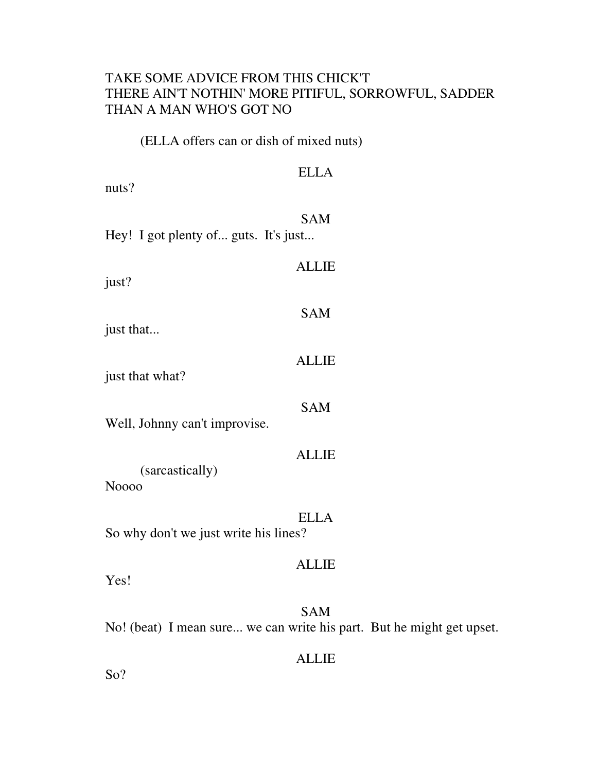## TAKE SOME ADVICE FROM THIS CHICK'T THERE AIN'T NOTHIN' MORE PITIFUL, SORROWFUL, SADDER THAN A MAN WHO'S GOT NO

(ELLA offers can or dish of mixed nuts)

| nuts?                                 | <b>ELLA</b>                                                                         |
|---------------------------------------|-------------------------------------------------------------------------------------|
| Hey! I got plenty of guts. It's just  | <b>SAM</b>                                                                          |
| just?                                 | <b>ALLIE</b>                                                                        |
| just that                             | <b>SAM</b>                                                                          |
| just that what?                       | <b>ALLIE</b>                                                                        |
| Well, Johnny can't improvise.         | <b>SAM</b>                                                                          |
| (sarcastically)<br><b>Noooo</b>       | <b>ALLIE</b>                                                                        |
| So why don't we just write his lines? | <b>ELLA</b>                                                                         |
| Yes!                                  | <b>ALLIE</b>                                                                        |
|                                       | <b>SAM</b><br>No! (beat) I mean sure we can write his part. But he might get upset. |
| So?                                   | <b>ALLIE</b>                                                                        |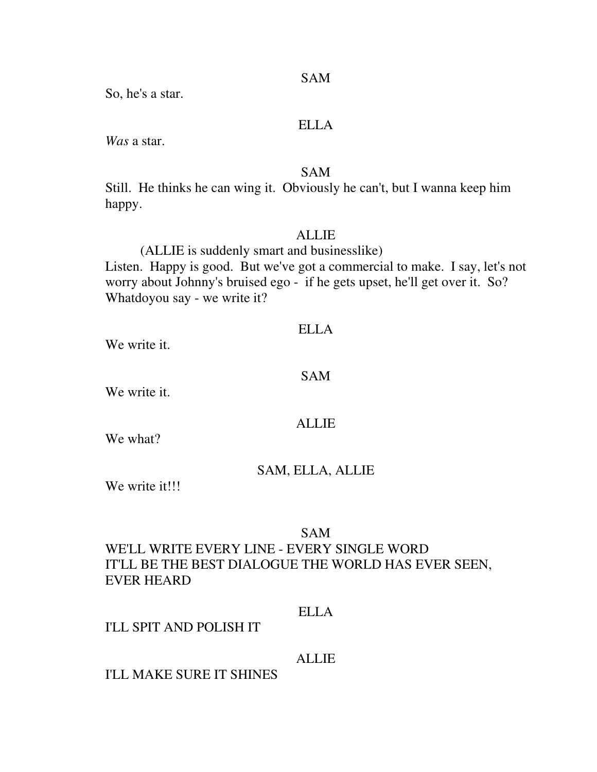So, he's a star.

## ELLA

*Was* a star.

## SAM

Still. He thinks he can wing it. Obviously he can't, but I wanna keep him happy.

### ALLIE

(ALLIE is suddenly smart and businesslike)

Listen. Happy is good. But we've got a commercial to make. I say, let's not worry about Johnny's bruised ego - if he gets upset, he'll get over it. So? Whatdoyou say - we write it?

#### ELLA

We write it.

## SAM

We write it.

### ALLIE

We what?

### SAM, ELLA, ALLIE

We write it!!!

## SAM

## WE'LL WRITE EVERY LINE - EVERY SINGLE WORD IT'LL BE THE BEST DIALOGUE THE WORLD HAS EVER SEEN, EVER HEARD

## ELLA

## I'LL SPIT AND POLISH IT

## ALLIE

### I'LL MAKE SURE IT SHINES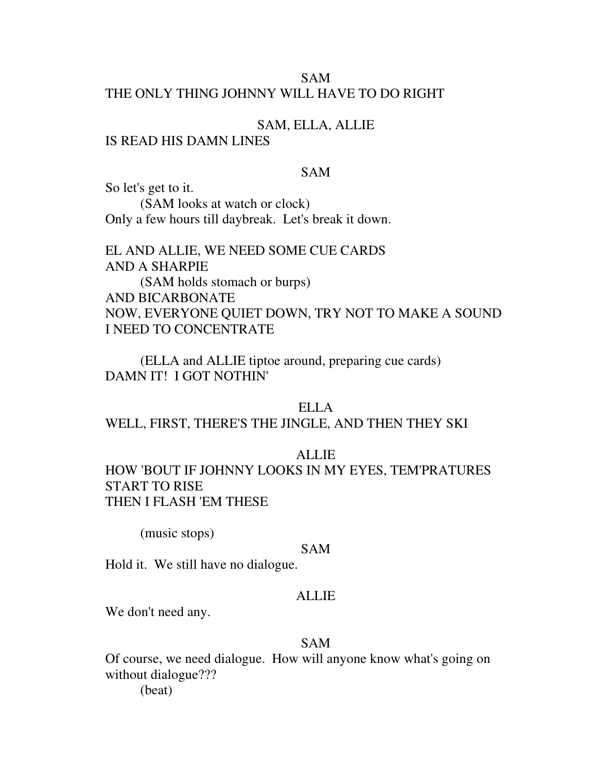## SAM THE ONLY THING JOHNNY WILL HAVE TO DO RIGHT

## SAM, ELLA, ALLIE

## IS READ HIS DAMN LINES

## SAM

So let's get to it. (SAM looks at watch or clock) Only a few hours till daybreak. Let's break it down.

EL AND ALLIE, WE NEED SOME CUE CARDS AND A SHARPIE (SAM holds stomach or burps) AND BICARBONATE NOW, EVERYONE QUIET DOWN, TRY NOT TO MAKE A SOUND I NEED TO CONCENTRATE

 (ELLA and ALLIE tiptoe around, preparing cue cards) DAMN IT! I GOT NOTHIN'

### ELLA

WELL, FIRST, THERE'S THE JINGLE, AND THEN THEY SKI

#### ALLIE

HOW 'BOUT IF JOHNNY LOOKS IN MY EYES, TEM'PRATURES START TO RISE THEN I FLASH 'EM THESE

(music stops)

#### SAM

Hold it. We still have no dialogue.

### ALLIE

We don't need any.

#### SAM

Of course, we need dialogue. How will anyone know what's going on without dialogue??? (beat)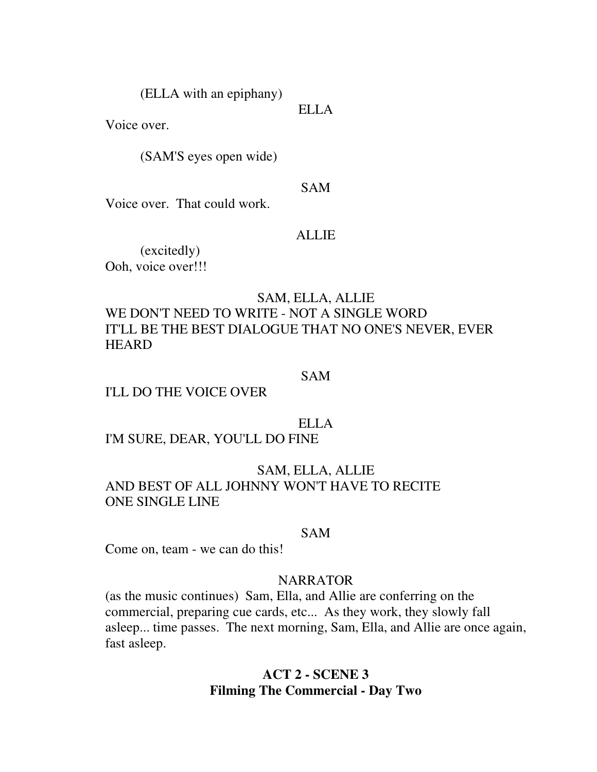(ELLA with an epiphany)

Voice over.

(SAM'S eyes open wide)

#### SAM

ELLA

Voice over. That could work.

#### ALLIE

 (excitedly) Ooh, voice over!!!

## SAM, ELLA, ALLIE

WE DON'T NEED TO WRITE - NOT A SINGLE WORD IT'LL BE THE BEST DIALOGUE THAT NO ONE'S NEVER, EVER **HEARD** 

#### SAM

## I'LL DO THE VOICE OVER

### ELLA

I'M SURE, DEAR, YOU'LL DO FINE

## SAM, ELLA, ALLIE AND BEST OF ALL JOHNNY WON'T HAVE TO RECITE ONE SINGLE LINE

#### SAM

Come on, team - we can do this!

### **NARRATOR**

(as the music continues) Sam, Ella, and Allie are conferring on the commercial, preparing cue cards, etc... As they work, they slowly fall asleep... time passes. The next morning, Sam, Ella, and Allie are once again, fast asleep.

## **ACT 2 - SCENE 3 Filming The Commercial - Day Two**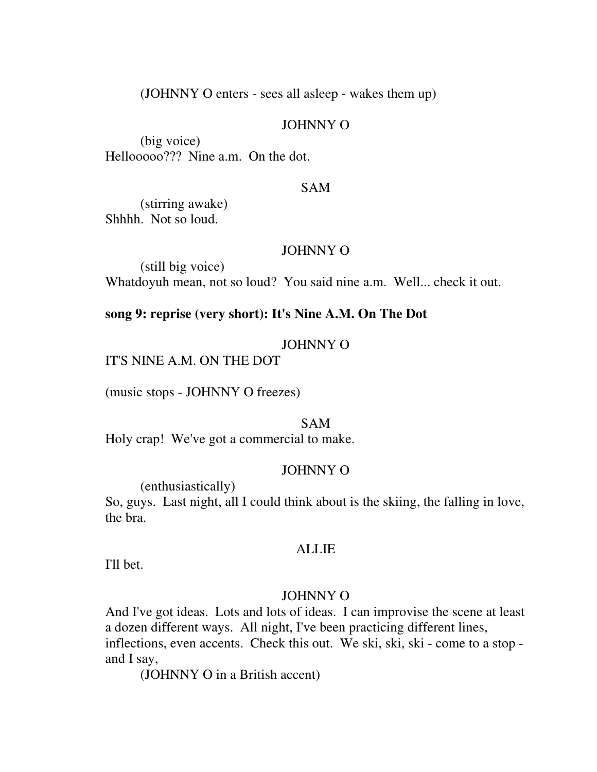(JOHNNY O enters - sees all asleep - wakes them up)

### JOHNNY O

 (big voice) Hellooooo??? Nine a.m. On the dot.

#### SAM

 (stirring awake) Shhhh. Not so loud.

#### JOHNNY O

 (still big voice) Whatdoyuh mean, not so loud? You said nine a.m. Well... check it out.

## **song 9: reprise (very short): It's Nine A.M. On The Dot**

### JOHNNY O

IT'S NINE A.M. ON THE DOT

(music stops - JOHNNY O freezes)

#### SAM

Holy crap! We've got a commercial to make.

### JOHNNY O

(enthusiastically)

So, guys. Last night, all I could think about is the skiing, the falling in love, the bra.

#### ALLIE

I'll bet.

## JOHNNY O

And I've got ideas. Lots and lots of ideas. I can improvise the scene at least a dozen different ways. All night, I've been practicing different lines, inflections, even accents. Check this out. We ski, ski, ski - come to a stop and I say,

(JOHNNY O in a British accent)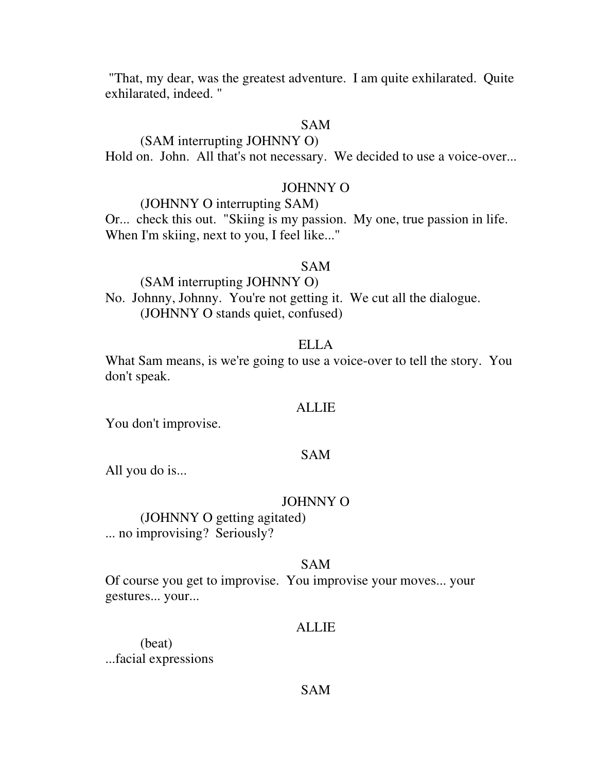"That, my dear, was the greatest adventure. I am quite exhilarated. Quite exhilarated, indeed. "

## SAM

## (SAM interrupting JOHNNY O)

Hold on. John. All that's not necessary. We decided to use a voice-over...

### JOHNNY O

## (JOHNNY O interrupting SAM)

Or... check this out. "Skiing is my passion. My one, true passion in life. When I'm skiing, next to you, I feel like..."

#### SAM

 (SAM interrupting JOHNNY O) No. Johnny, Johnny. You're not getting it. We cut all the dialogue. (JOHNNY O stands quiet, confused)

### ELLA

What Sam means, is we're going to use a voice-over to tell the story. You don't speak.

#### ALLIE

You don't improvise.

### SAM

All you do is...

#### JOHNNY O

 (JOHNNY O getting agitated) ... no improvising? Seriously?

### SAM

Of course you get to improvise. You improvise your moves... your gestures... your...

#### ALLIE

 (beat) ...facial expressions

#### SAM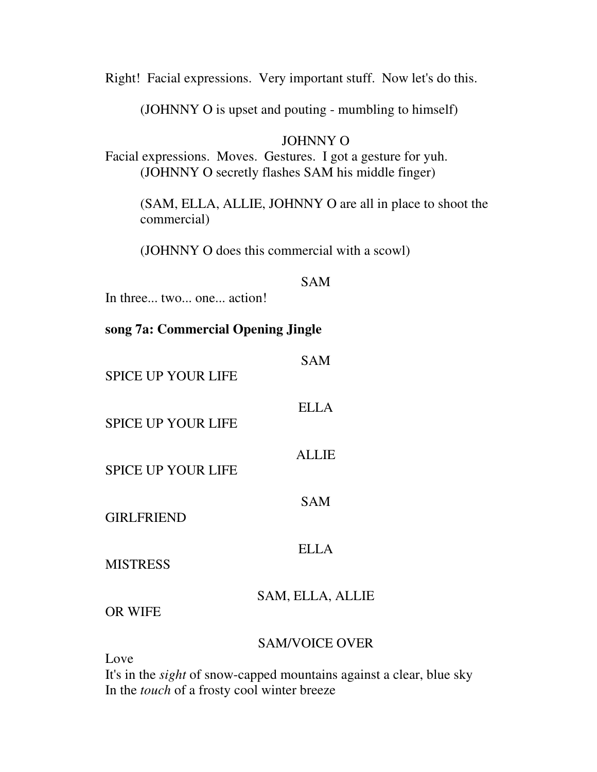Right! Facial expressions. Very important stuff. Now let's do this.

(JOHNNY O is upset and pouting - mumbling to himself)

## JOHNNY O

Facial expressions. Moves. Gestures. I got a gesture for yuh. (JOHNNY O secretly flashes SAM his middle finger)

 (SAM, ELLA, ALLIE, JOHNNY O are all in place to shoot the commercial)

(JOHNNY O does this commercial with a scowl)

### SAM

In three... two... one... action!

## **song 7a: Commercial Opening Jingle**

| <b>SPICE UP YOUR LIFE</b> | <b>SAM</b>            |
|---------------------------|-----------------------|
| <b>SPICE UP YOUR LIFE</b> | <b>ELLA</b>           |
| <b>SPICE UP YOUR LIFE</b> | <b>ALLIE</b>          |
| <b>GIRLFRIEND</b>         | <b>SAM</b>            |
| <b>MISTRESS</b>           | <b>ELLA</b>           |
| <b>OR WIFE</b>            | SAM, ELLA, ALLIE      |
|                           | <b>SAM/VOICE OVER</b> |

Love

It's in the *sight* of snow-capped mountains against a clear, blue sky In the *touch* of a frosty cool winter breeze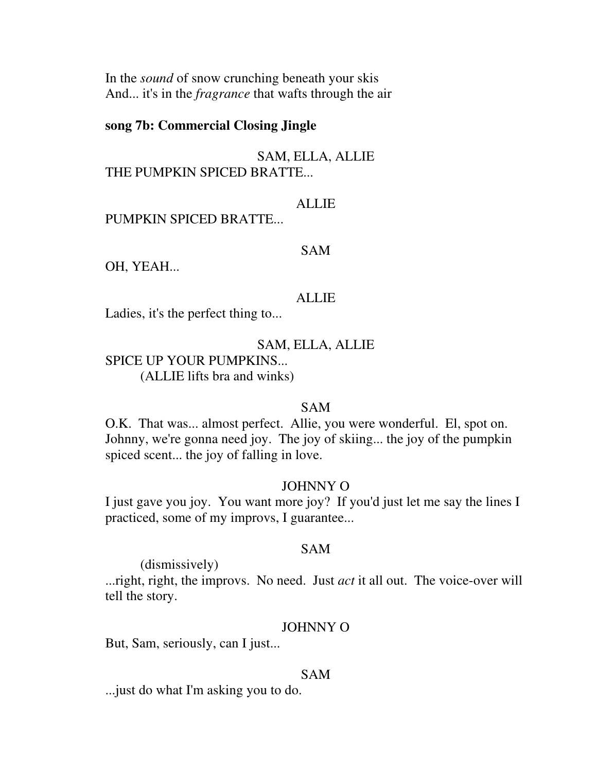In the *sound* of snow crunching beneath your skis And... it's in the *fragrance* that wafts through the air

## **song 7b: Commercial Closing Jingle**

SAM, ELLA, ALLIE THE PUMPKIN SPICED BRATTE...

## ALLIE

PUMPKIN SPICED BRATTE...

#### SAM

OH, YEAH...

#### **ALLIE**

Ladies, it's the perfect thing to...

### SAM, ELLA, ALLIE

SPICE UP YOUR PUMPKINS... (ALLIE lifts bra and winks)

#### SAM

O.K. That was... almost perfect. Allie, you were wonderful. El, spot on. Johnny, we're gonna need joy. The joy of skiing... the joy of the pumpkin spiced scent... the joy of falling in love.

## JOHNNY O

I just gave you joy. You want more joy? If you'd just let me say the lines I practiced, some of my improvs, I guarantee...

## SAM

(dismissively)

...right, right, the improvs. No need. Just *act* it all out. The voice-over will tell the story.

### JOHNNY O

But, Sam, seriously, can I just...

#### SAM

...just do what I'm asking you to do.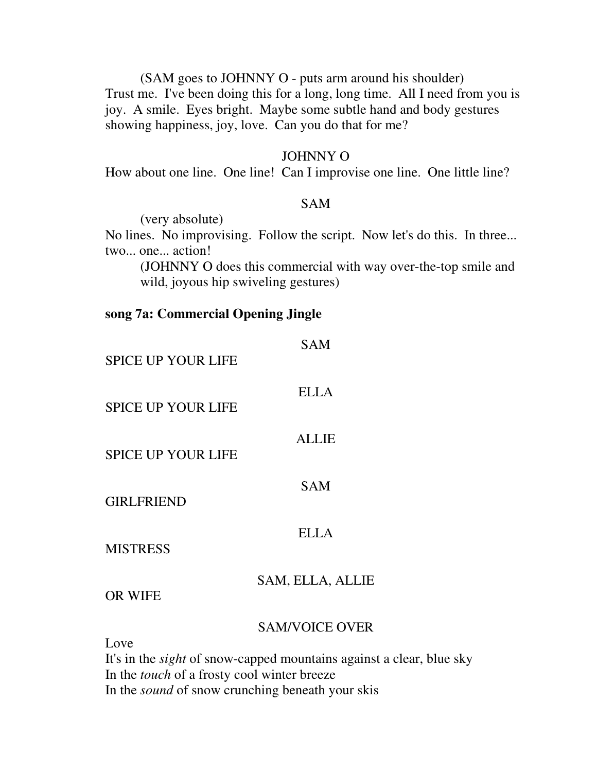(SAM goes to JOHNNY O - puts arm around his shoulder) Trust me. I've been doing this for a long, long time. All I need from you is joy. A smile. Eyes bright. Maybe some subtle hand and body gestures showing happiness, joy, love. Can you do that for me?

### JOHNNY O

How about one line. One line! Can I improvise one line. One little line?

### SAM

(very absolute)

No lines. No improvising. Follow the script. Now let's do this. In three... two... one... action!

 (JOHNNY O does this commercial with way over-the-top smile and wild, joyous hip swiveling gestures)

## **song 7a: Commercial Opening Jingle**

| <b>SPICE UP YOUR LIFE</b> | <b>SAM</b>            |
|---------------------------|-----------------------|
| <b>SPICE UP YOUR LIFE</b> | <b>ELLA</b>           |
| <b>SPICE UP YOUR LIFE</b> | <b>ALLIE</b>          |
| <b>GIRLFRIEND</b>         | <b>SAM</b>            |
| <b>MISTRESS</b>           | <b>ELLA</b>           |
| <b>OR WIFE</b>            | SAM, ELLA, ALLIE      |
| Love                      | <b>SAM/VOICE OVER</b> |

It's in the *sight* of snow-capped mountains against a clear, blue sky In the *touch* of a frosty cool winter breeze In the *sound* of snow crunching beneath your skis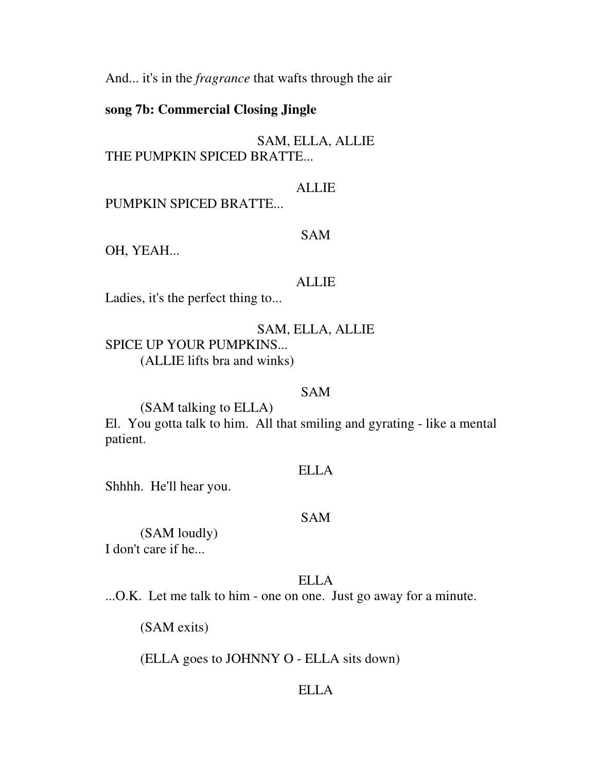And... it's in the *fragrance* that wafts through the air

## **song 7b: Commercial Closing Jingle**

## SAM, ELLA, ALLIE THE PUMPKIN SPICED BRATTE...

## ALLIE

PUMPKIN SPICED BRATTE...

## SAM

OH, YEAH...

### ALLIE

Ladies, it's the perfect thing to...

## SAM, ELLA, ALLIE

SPICE UP YOUR PUMPKINS...

(ALLIE lifts bra and winks)

## SAM

(SAM talking to ELLA)

El. You gotta talk to him. All that smiling and gyrating - like a mental patient.

## ELLA

Shhhh. He'll hear you.

### SAM

 (SAM loudly) I don't care if he...

## ELLA

...O.K. Let me talk to him - one on one. Just go away for a minute.

(SAM exits)

(ELLA goes to JOHNNY O - ELLA sits down)

## ELLA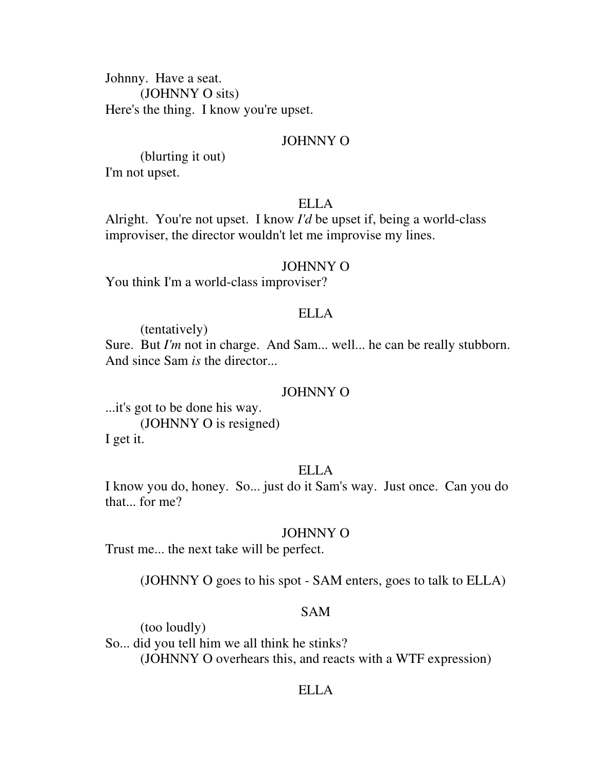Johnny. Have a seat. (JOHNNY O sits) Here's the thing. I know you're upset.

#### JOHNNY O

 (blurting it out) I'm not upset.

## ELLA

Alright. You're not upset. I know *I'd* be upset if, being a world-class improviser, the director wouldn't let me improvise my lines.

#### JOHNNY O

You think I'm a world-class improviser?

### ELLA

(tentatively)

Sure. But *I'm* not in charge. And Sam... well... he can be really stubborn. And since Sam *is* the director...

#### JOHNNY O

...it's got to be done his way. (JOHNNY O is resigned) I get it.

#### ELLA

I know you do, honey. So... just do it Sam's way. Just once. Can you do that... for me?

#### JOHNNY O

Trust me... the next take will be perfect.

(JOHNNY O goes to his spot - SAM enters, goes to talk to ELLA)

## SAM

 (too loudly) So... did you tell him we all think he stinks? (JOHNNY O overhears this, and reacts with a WTF expression)

#### ELLA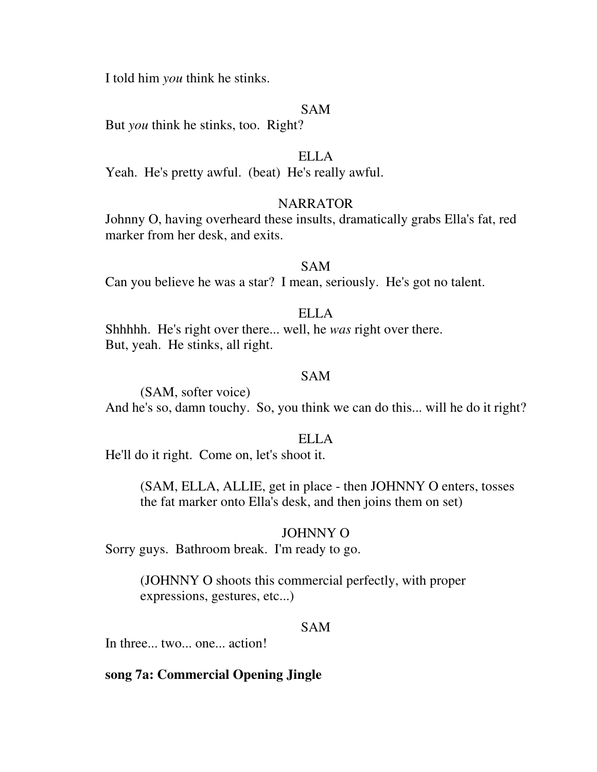I told him *you* think he stinks.

### SAM

But *you* think he stinks, too. Right?

## ELLA

Yeah. He's pretty awful. (beat) He's really awful.

## NARRATOR

Johnny O, having overheard these insults, dramatically grabs Ella's fat, red marker from her desk, and exits.

#### SAM

Can you believe he was a star? I mean, seriously. He's got no talent.

## ELLA

Shhhhh. He's right over there... well, he *was* right over there. But, yeah. He stinks, all right.

### SAM

 (SAM, softer voice) And he's so, damn touchy. So, you think we can do this... will he do it right?

#### ELLA

He'll do it right. Come on, let's shoot it.

 (SAM, ELLA, ALLIE, get in place - then JOHNNY O enters, tosses the fat marker onto Ella's desk, and then joins them on set)

#### JOHNNY O

Sorry guys. Bathroom break. I'm ready to go.

 (JOHNNY O shoots this commercial perfectly, with proper expressions, gestures, etc...)

## SAM

In three... two... one... action!

## **song 7a: Commercial Opening Jingle**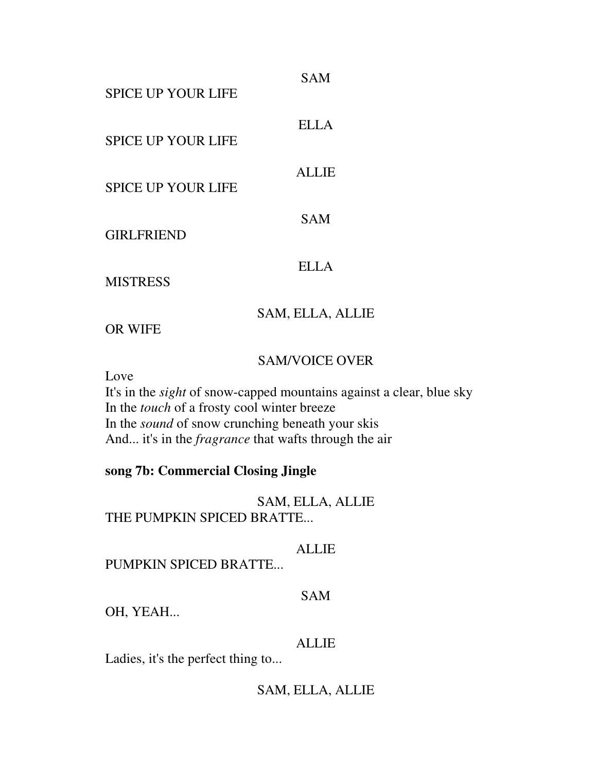| <b>SPICE UP YOUR LIFE</b> | <b>SAM</b>       |
|---------------------------|------------------|
| <b>SPICE UP YOUR LIFE</b> | <b>ELLA</b>      |
| <b>SPICE UP YOUR LIFE</b> | <b>ALLIE</b>     |
| <b>GIRLFRIEND</b>         | <b>SAM</b>       |
| <b>MISTRESS</b>           | ELLA             |
| <b>OR WIFE</b>            | SAM, ELLA, ALLIE |

## SAM/VOICE OVER

Love

It's in the *sight* of snow-capped mountains against a clear, blue sky In the *touch* of a frosty cool winter breeze In the *sound* of snow crunching beneath your skis And... it's in the *fragrance* that wafts through the air

## **song 7b: Commercial Closing Jingle**

SAM, ELLA, ALLIE THE PUMPKIN SPICED BRATTE...

ALLIE

PUMPKIN SPICED BRATTE...

## SAM

OH, YEAH...

## ALLIE

Ladies, it's the perfect thing to...

SAM, ELLA, ALLIE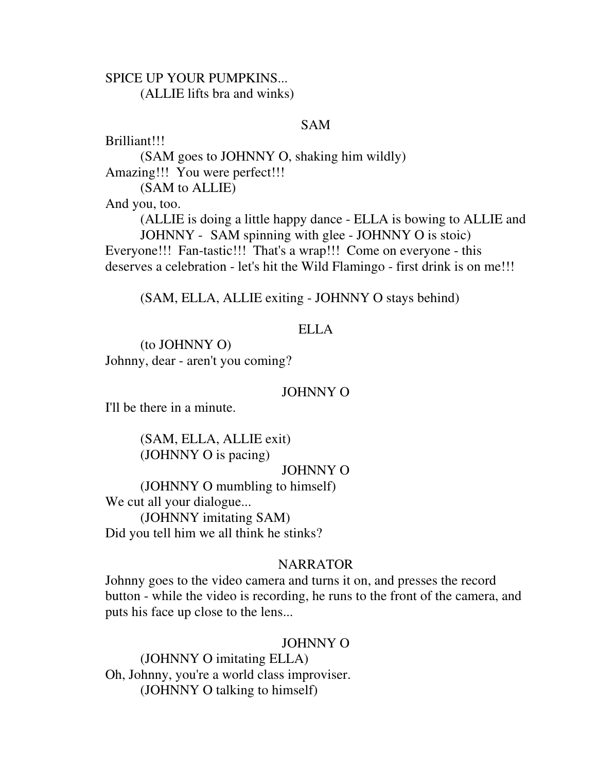## SPICE UP YOUR PUMPKINS... (ALLIE lifts bra and winks)

## SAM

Brilliant!!!

 (SAM goes to JOHNNY O, shaking him wildly) Amazing!!! You were perfect!!! (SAM to ALLIE) And you, too. (ALLIE is doing a little happy dance - ELLA is bowing to ALLIE and JOHNNY - SAM spinning with glee - JOHNNY O is stoic) Everyone!!! Fan-tastic!!! That's a wrap!!! Come on everyone - this deserves a celebration - let's hit the Wild Flamingo - first drink is on me!!!

(SAM, ELLA, ALLIE exiting - JOHNNY O stays behind)

## ELLA

 (to JOHNNY O) Johnny, dear - aren't you coming?

## JOHNNY O

I'll be there in a minute.

 (SAM, ELLA, ALLIE exit) (JOHNNY O is pacing)

JOHNNY O

 (JOHNNY O mumbling to himself) We cut all your dialogue... (JOHNNY imitating SAM) Did you tell him we all think he stinks?

## **NARRATOR**

Johnny goes to the video camera and turns it on, and presses the record button - while the video is recording, he runs to the front of the camera, and puts his face up close to the lens...

## JOHNNY O

 (JOHNNY O imitating ELLA) Oh, Johnny, you're a world class improviser. (JOHNNY O talking to himself)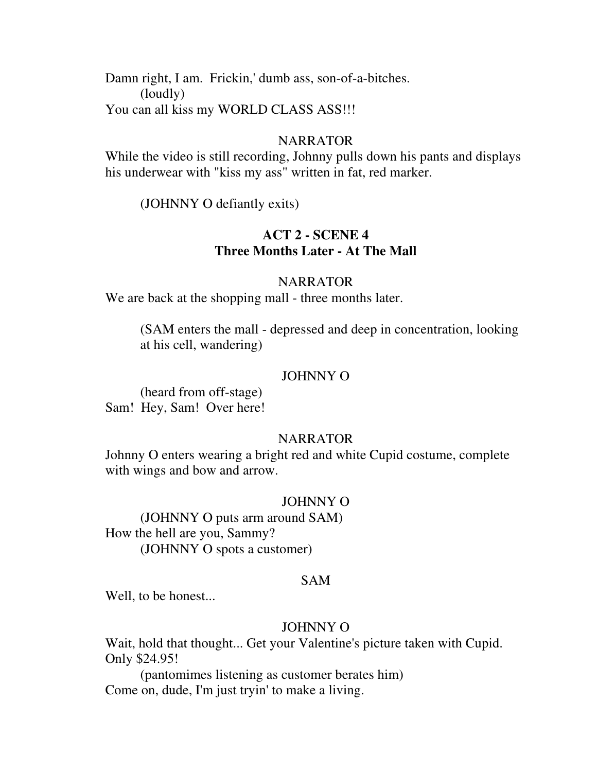Damn right, I am. Frickin,' dumb ass, son-of-a-bitches. (loudly) You can all kiss my WORLD CLASS ASS!!!

### **NARRATOR**

While the video is still recording, Johnny pulls down his pants and displays his underwear with "kiss my ass" written in fat, red marker.

(JOHNNY O defiantly exits)

## **ACT 2 - SCENE 4 Three Months Later - At The Mall**

#### NARRATOR

We are back at the shopping mall - three months later.

 (SAM enters the mall - depressed and deep in concentration, looking at his cell, wandering)

#### JOHNNY O

 (heard from off-stage) Sam! Hey, Sam! Over here!

### NARRATOR

Johnny O enters wearing a bright red and white Cupid costume, complete with wings and bow and arrow.

### JOHNNY O

 (JOHNNY O puts arm around SAM) How the hell are you, Sammy? (JOHNNY O spots a customer)

#### SAM

Well, to be honest...

## JOHNNY O

Wait, hold that thought... Get your Valentine's picture taken with Cupid. Only \$24.95!

 (pantomimes listening as customer berates him) Come on, dude, I'm just tryin' to make a living.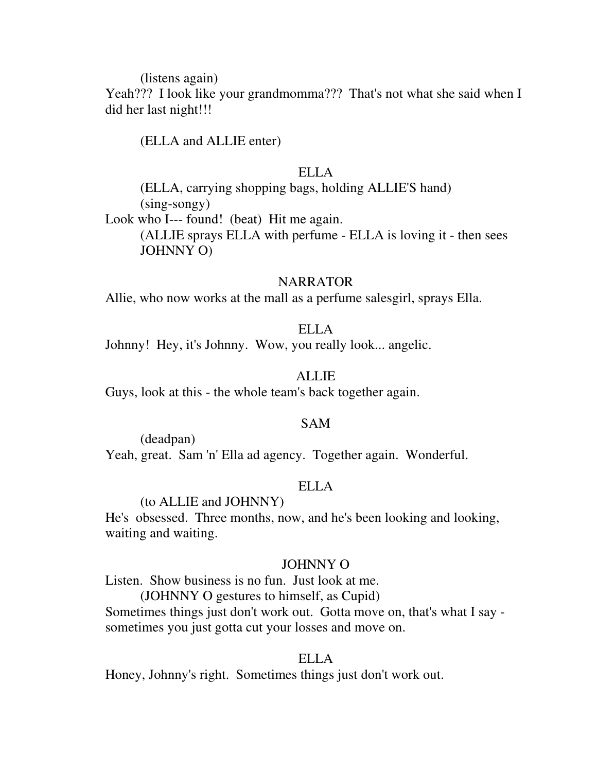(listens again)

Yeah??? I look like your grandmomma??? That's not what she said when I did her last night!!!

(ELLA and ALLIE enter)

## ELLA

 (ELLA, carrying shopping bags, holding ALLIE'S hand) (sing-songy)

Look who I--- found! (beat) Hit me again. (ALLIE sprays ELLA with perfume - ELLA is loving it - then sees JOHNNY O)

#### NARRATOR

Allie, who now works at the mall as a perfume salesgirl, sprays Ella.

## ELLA

Johnny! Hey, it's Johnny. Wow, you really look... angelic.

## ALLIE

Guys, look at this - the whole team's back together again.

## SAM

 (deadpan) Yeah, great. Sam 'n' Ella ad agency. Together again. Wonderful.

## ELLA

## (to ALLIE and JOHNNY)

He's obsessed. Three months, now, and he's been looking and looking, waiting and waiting.

### JOHNNY O

Listen. Show business is no fun. Just look at me.

(JOHNNY O gestures to himself, as Cupid)

Sometimes things just don't work out. Gotta move on, that's what I say sometimes you just gotta cut your losses and move on.

### ELLA

Honey, Johnny's right. Sometimes things just don't work out.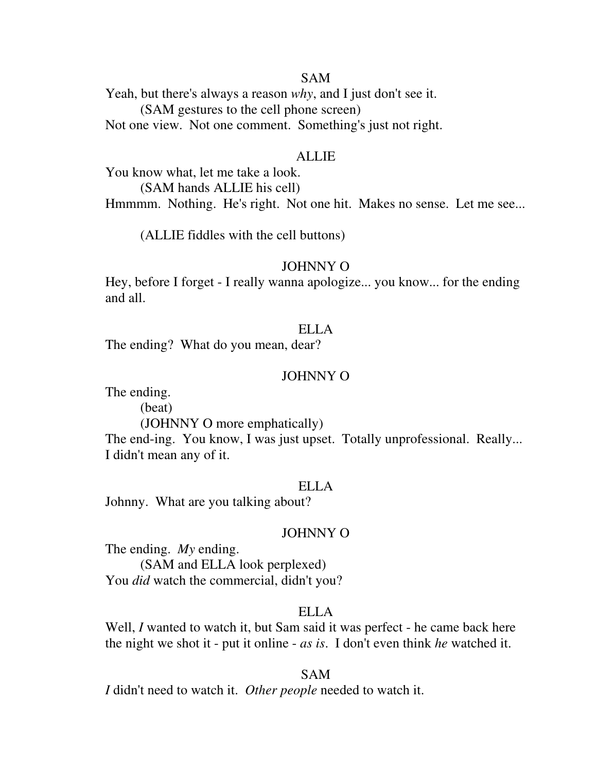#### SAM

Yeah, but there's always a reason *why*, and I just don't see it. (SAM gestures to the cell phone screen) Not one view. Not one comment. Something's just not right.

#### ALLIE

You know what, let me take a look. (SAM hands ALLIE his cell) Hmmmm. Nothing. He's right. Not one hit. Makes no sense. Let me see...

(ALLIE fiddles with the cell buttons)

#### JOHNNY O

Hey, before I forget - I really wanna apologize... you know... for the ending and all.

## ELLA

The ending? What do you mean, dear?

#### JOHNNY O

The ending.

(beat)

(JOHNNY O more emphatically)

The end-ing. You know, I was just upset. Totally unprofessional. Really... I didn't mean any of it.

#### ELLA

Johnny. What are you talking about?

#### JOHNNY O

The ending. *My* ending. (SAM and ELLA look perplexed) You *did* watch the commercial, didn't you?

#### ELLA

Well, *I* wanted to watch it, but Sam said it was perfect - he came back here the night we shot it - put it online - *as is*. I don't even think *he* watched it.

#### SAM

*I* didn't need to watch it. *Other people* needed to watch it.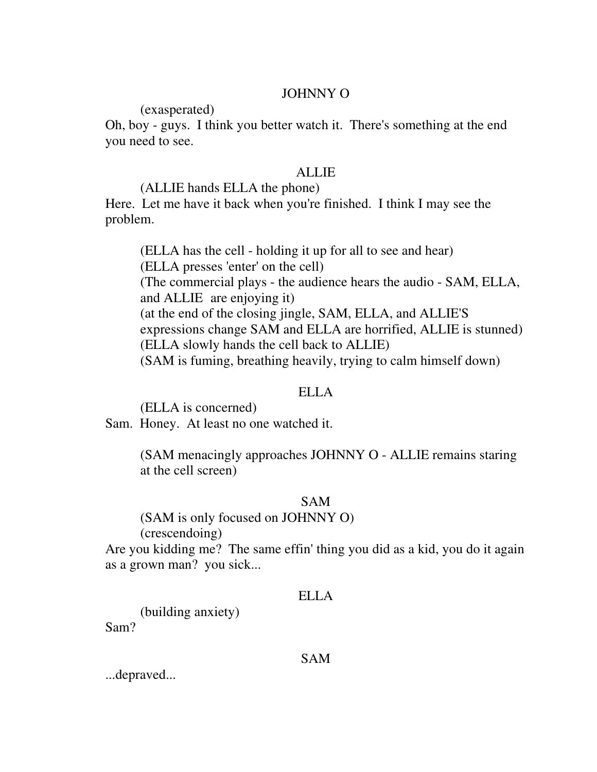## JOHNNY O

(exasperated)

Oh, boy - guys. I think you better watch it. There's something at the end you need to see.

## ALLIE

## (ALLIE hands ELLA the phone)

Here. Let me have it back when you're finished. I think I may see the problem.

 (ELLA has the cell - holding it up for all to see and hear) (ELLA presses 'enter' on the cell) (The commercial plays - the audience hears the audio - SAM, ELLA, and ALLIE are enjoying it) (at the end of the closing jingle, SAM, ELLA, and ALLIE'S expressions change SAM and ELLA are horrified, ALLIE is stunned) (ELLA slowly hands the cell back to ALLIE) (SAM is fuming, breathing heavily, trying to calm himself down)

## ELLA

(ELLA is concerned)

Sam. Honey. At least no one watched it.

 (SAM menacingly approaches JOHNNY O - ALLIE remains staring at the cell screen)

## SAM

(SAM is only focused on JOHNNY O)

(crescendoing)

Are you kidding me? The same effin' thing you did as a kid, you do it again as a grown man? you sick...

## ELLA

 (building anxiety) Sam?

## SAM

...depraved...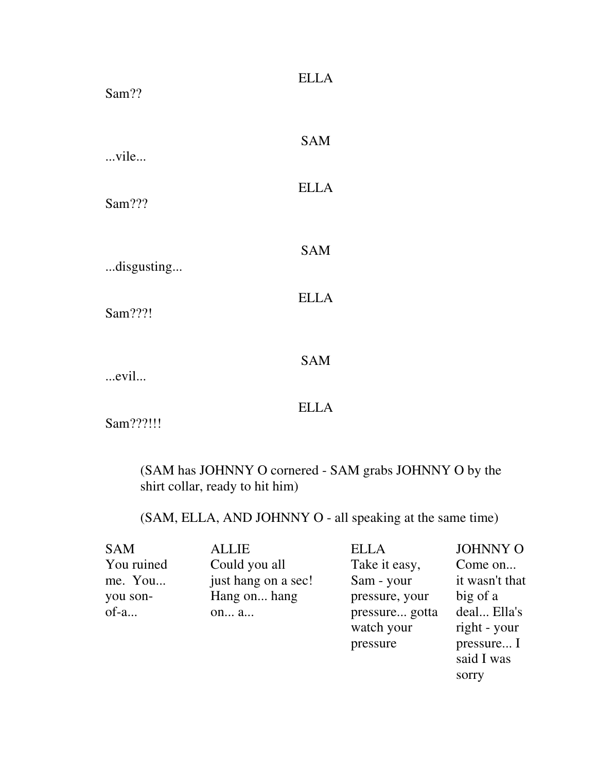| Sam??                 | <b>ELLA</b> |
|-----------------------|-------------|
| vile                  | <b>SAM</b>  |
| Sam???                | <b>ELLA</b> |
|                       | <b>SAM</b>  |
| disgusting<br>Sam???! | <b>ELLA</b> |
|                       | <b>SAM</b>  |
| evil                  | <b>ELLA</b> |
| Sam???!!!             |             |

 (SAM has JOHNNY O cornered - SAM grabs JOHNNY O by the shirt collar, ready to hit him)

(SAM, ELLA, AND JOHNNY O - all speaking at the same time)

| <b>SAM</b> | <b>ALLIE</b>        | <b>ELLA</b>    | <b>JOHNNY O</b> |
|------------|---------------------|----------------|-----------------|
| You ruined | Could you all       | Take it easy,  | Come on         |
| me. You    | just hang on a sec! | Sam - your     | it wasn't that  |
| you son-   | Hang on hang        | pressure, your | big of a        |
| of-a       | on a                | pressure gotta | deal Ella's     |
|            |                     | watch your     | right - your    |
|            |                     | pressure       | pressure I      |
|            |                     |                | said I was      |
|            |                     |                | sorry           |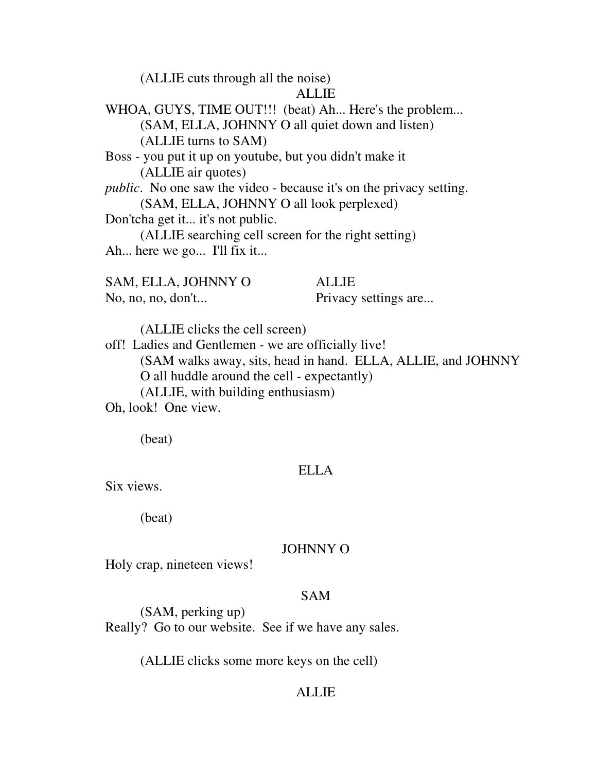(ALLIE cuts through all the noise)

### ALLIE

WHOA, GUYS, TIME OUT!!! (beat) Ah... Here's the problem... (SAM, ELLA, JOHNNY O all quiet down and listen) (ALLIE turns to SAM) Boss - you put it up on youtube, but you didn't make it (ALLIE air quotes)

*public*. No one saw the video - because it's on the privacy setting. (SAM, ELLA, JOHNNY O all look perplexed)

Don'tcha get it... it's not public.

 (ALLIE searching cell screen for the right setting) Ah... here we go... I'll fix it...

SAM, ELLA, JOHNNY O ALLIE No, no, no, don't... Privacy settings are...

(ALLIE clicks the cell screen)

off! Ladies and Gentlemen - we are officially live! (SAM walks away, sits, head in hand. ELLA, ALLIE, and JOHNNY O all huddle around the cell - expectantly) (ALLIE, with building enthusiasm)

Oh, look! One view.

(beat)

## ELLA

Six views.

(beat)

## JOHNNY O

Holy crap, nineteen views!

## SAM

 (SAM, perking up) Really? Go to our website. See if we have any sales.

(ALLIE clicks some more keys on the cell)

## ALLIE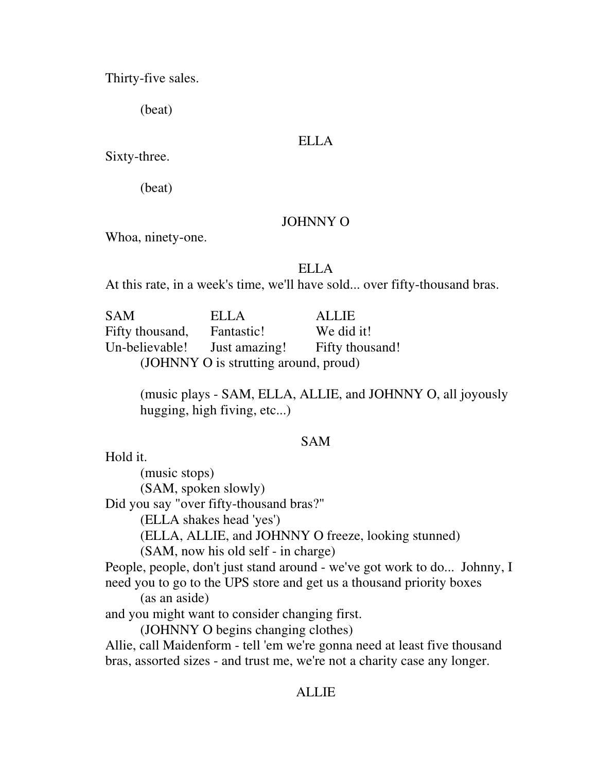Thirty-five sales.

(beat)

## ELLA

Sixty-three.

(beat)

## JOHNNY O

Whoa, ninety-one.

## ELLA

At this rate, in a week's time, we'll have sold... over fifty-thousand bras.

SAM ELLA ALLIE Fifty thousand, Fantastic! We did it! Un-believable! Just amazing! Fifty thousand! (JOHNNY O is strutting around, proud)

> (music plays - SAM, ELLA, ALLIE, and JOHNNY O, all joyously hugging, high fiving, etc...)

## SAM

Hold it.

 (music stops) (SAM, spoken slowly) Did you say "over fifty-thousand bras?" (ELLA shakes head 'yes') (ELLA, ALLIE, and JOHNNY O freeze, looking stunned) (SAM, now his old self - in charge) People, people, don't just stand around - we've got work to do... Johnny, I need you to go to the UPS store and get us a thousand priority boxes (as an aside) and you might want to consider changing first. (JOHNNY O begins changing clothes) Allie, call Maidenform - tell 'em we're gonna need at least five thousand bras, assorted sizes - and trust me, we're not a charity case any longer.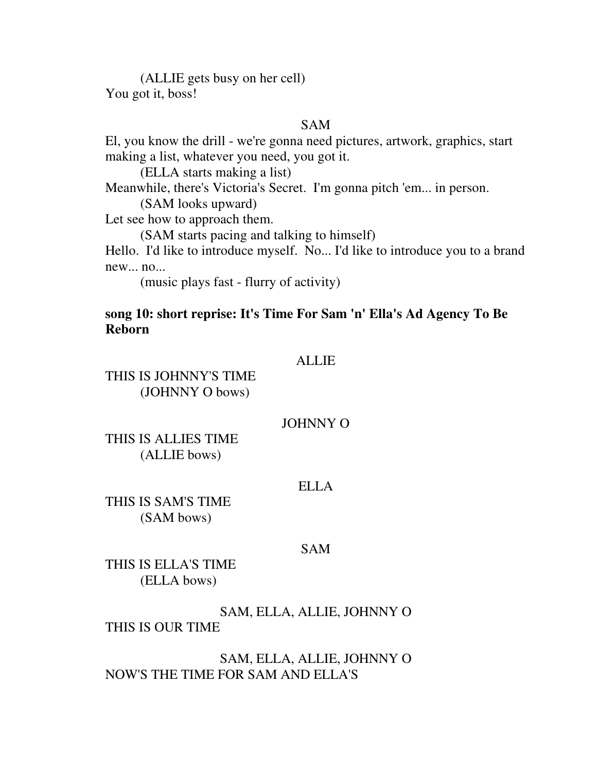(ALLIE gets busy on her cell) You got it, boss!

## SAM

El, you know the drill - we're gonna need pictures, artwork, graphics, start making a list, whatever you need, you got it.

(ELLA starts making a list)

Meanwhile, there's Victoria's Secret. I'm gonna pitch 'em... in person.

(SAM looks upward)

Let see how to approach them.

(SAM starts pacing and talking to himself)

Hello. I'd like to introduce myself. No... I'd like to introduce you to a brand new... no...

(music plays fast - flurry of activity)

## **song 10: short reprise: It's Time For Sam 'n' Ella's Ad Agency To Be Reborn**

### **ALLIE**

## THIS IS JOHNNY'S TIME (JOHNNY O bows)

#### JOHNNY O

THIS IS ALLIES TIME (ALLIE bows)

#### ELLA

THIS IS SAM'S TIME (SAM bows)

#### SAM

THIS IS ELLA'S TIME (ELLA bows)

SAM, ELLA, ALLIE, JOHNNY O THIS IS OUR TIME

SAM, ELLA, ALLIE, JOHNNY O NOW'S THE TIME FOR SAM AND ELLA'S